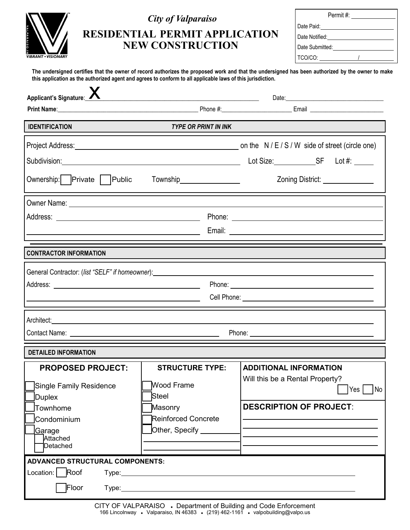| <b>AALPARAISO.IN</b>       |
|----------------------------|
| <b>VIBRANT • VISIONARY</b> |

## *City of Valparaiso*

# **RESIDENTIAL PERMIT APPLICATION NEW CONSTRUCTION**

| Permit #:       |  |  |  |  |
|-----------------|--|--|--|--|
| Date Paid:      |  |  |  |  |
| Date Notified:  |  |  |  |  |
| Date Submitted: |  |  |  |  |
| TCO/CO:         |  |  |  |  |

**The undersigned certifies that the owner of record authorizes the proposed work and that the undersigned has been authorized by the owner to make this application as the authorized agent and agrees to conform to all applicable laws of this jurisdiction.**

| Applicant's Signature:                                                                                                                                                                                                                                                                                                                                                                                                                                                 | <u> 1989 - Johann Stoff, fransk politik (d. 1989)</u>                                                                                                                                                                                        |  |                                                                                                    |  |                                                   |  |  |
|------------------------------------------------------------------------------------------------------------------------------------------------------------------------------------------------------------------------------------------------------------------------------------------------------------------------------------------------------------------------------------------------------------------------------------------------------------------------|----------------------------------------------------------------------------------------------------------------------------------------------------------------------------------------------------------------------------------------------|--|----------------------------------------------------------------------------------------------------|--|---------------------------------------------------|--|--|
|                                                                                                                                                                                                                                                                                                                                                                                                                                                                        |                                                                                                                                                                                                                                              |  |                                                                                                    |  |                                                   |  |  |
| <b>IDENTIFICATION</b><br><b>TYPE OR PRINT IN INK</b>                                                                                                                                                                                                                                                                                                                                                                                                                   |                                                                                                                                                                                                                                              |  |                                                                                                    |  |                                                   |  |  |
| Ownership:   Private   Public                                                                                                                                                                                                                                                                                                                                                                                                                                          | Township___________________                                                                                                                                                                                                                  |  |                                                                                                    |  | Zoning District: New York District:               |  |  |
| <b>CONTRACTOR INFORMATION</b>                                                                                                                                                                                                                                                                                                                                                                                                                                          |                                                                                                                                                                                                                                              |  |                                                                                                    |  |                                                   |  |  |
| General Contractor: (list "SELF" if homeowner): Notified that the contract of the contractor of the contractor                                                                                                                                                                                                                                                                                                                                                         |                                                                                                                                                                                                                                              |  |                                                                                                    |  |                                                   |  |  |
| Architect: <u>Land and the second contract of the second contract of the second contract of the second contract of the second contract of the second contract of the second contract of the second contract of the second contra</u><br>Phone: New York Street, New York Street, New York Street, New York Street, New York Street, New York Street, New York Street, New York Street, New York Street, New York Street, New York Street, New York Street, New York St |                                                                                                                                                                                                                                              |  |                                                                                                    |  |                                                   |  |  |
| <b>DETAILED INFORMATION</b>                                                                                                                                                                                                                                                                                                                                                                                                                                            |                                                                                                                                                                                                                                              |  |                                                                                                    |  |                                                   |  |  |
| <b>PROPOSED PROJECT:</b><br>Single Family Residence<br>Duplex<br>Townhome<br>Condominium<br><u> Ga</u> rage<br>Attached<br>Detached                                                                                                                                                                                                                                                                                                                                    | <b>STRUCTURE TYPE:</b><br><b>Wood Frame</b><br>Steel<br>Masonry<br>Reinforced Concrete<br>Other, Specify _______                                                                                                                             |  | <b>ADDITIONAL INFORMATION</b><br>Will this be a Rental Property?<br><b>DESCRIPTION OF PROJECT:</b> |  | $\mathsf{Yes}\,\mathsf{\Gamma}$<br>N <sub>o</sub> |  |  |
| <b>ADVANCED STRUCTURAL COMPONENTS:</b><br>Location:   Roof<br>Floor                                                                                                                                                                                                                                                                                                                                                                                                    | Type: Type:<br>Type: Type: Type: Type: Type: Type: Type: Type: Type: Type: Type: Type: Type: Type: Type: Type: Type: Type: Type: Type: Type: Type: Type: Type: Type: Type: Type: Type: Type: Type: Type: Type: Type: Type: Type: Type: Type: |  |                                                                                                    |  |                                                   |  |  |